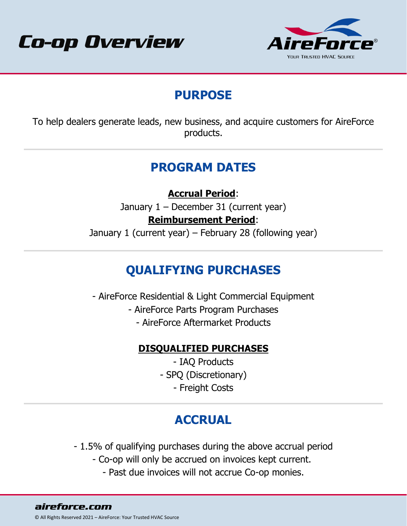



## **PURPOSE**

To help dealers generate leads, new business, and acquire customers for AireForce products.

## **PROGRAM DATES**

**Accrual Period**:

January 1 – December 31 (current year)

#### **Reimbursement Period**:

January 1 (current year) – February 28 (following year)

## **QUALIFYING PURCHASES**

- AireForce Residential & Light Commercial Equipment

- AireForce Parts Program Purchases
	- AireForce Aftermarket Products

#### **DISQUALIFIED PURCHASES**

- IAQ Products - SPQ (Discretionary) - Freight Costs

# **ACCRUAL**

- 1.5% of qualifying purchases during the above accrual period

- Co-op will only be accrued on invoices kept current.
	- Past due invoices will not accrue Co-op monies.

aireforce.com © All Rights Reserved 2021 – AireForce: Your Trusted HVAC Source